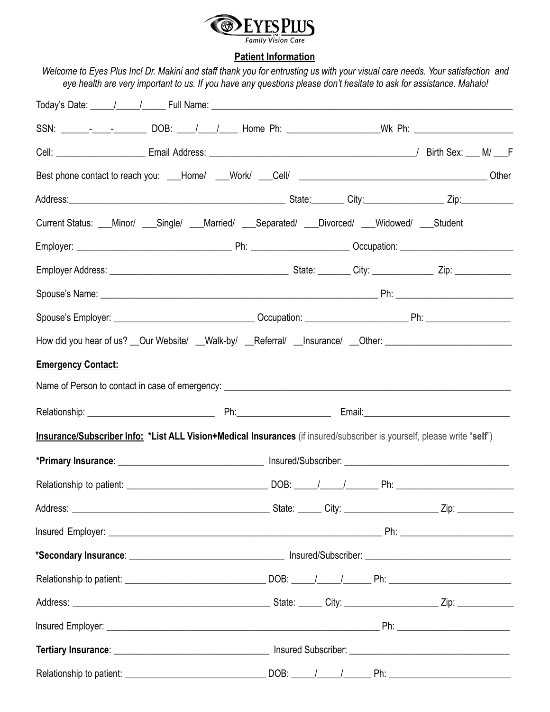

## **Patient Information**

|                           |  | eye health are very important to us. If you have any questions please don't hesitate to ask for assistance. Mahalo!     |
|---------------------------|--|-------------------------------------------------------------------------------------------------------------------------|
|                           |  |                                                                                                                         |
|                           |  | SSN: ________________________DOB: _____/ _____/_____Home Ph: ___________________Wk Ph: _______________________          |
|                           |  |                                                                                                                         |
|                           |  |                                                                                                                         |
|                           |  |                                                                                                                         |
|                           |  | Current Status: __Minor/ __Single/ __Married/ __Separated/ __Divorced/ __Widowed/ __Student                             |
|                           |  |                                                                                                                         |
|                           |  |                                                                                                                         |
|                           |  |                                                                                                                         |
|                           |  |                                                                                                                         |
|                           |  | How did you hear of us? __Our Website/ __Walk-by/ __Referral/ __Insurance/ __Other: __________________________          |
| <b>Emergency Contact:</b> |  |                                                                                                                         |
|                           |  |                                                                                                                         |
|                           |  |                                                                                                                         |
|                           |  | Insurance/Subscriber Info: *List ALL Vision+Medical Insurances (if insured/subscriber is yourself, please write "self") |
|                           |  |                                                                                                                         |
|                           |  |                                                                                                                         |
|                           |  | Address: 2008. 2010. The Contract of Contract of Contract of Contract of City: 2008. 2010. 2010. 2010. 2010. 2          |
|                           |  |                                                                                                                         |
|                           |  |                                                                                                                         |
|                           |  |                                                                                                                         |
|                           |  | Address: 2008. 2010. The Contract of City: 2010. 2010. 2010. 2010. 2010. 2010. 2010. 2010. 2010. 2010. 2010. 2          |
|                           |  |                                                                                                                         |
|                           |  |                                                                                                                         |
|                           |  |                                                                                                                         |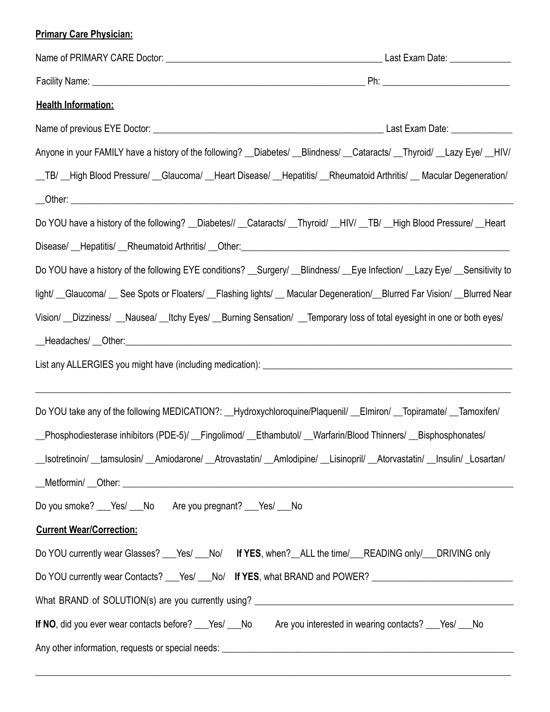## **Primary Care Physician:**

| <b>Health Information:</b>                                                                                                    |  |  |  |
|-------------------------------------------------------------------------------------------------------------------------------|--|--|--|
|                                                                                                                               |  |  |  |
| Anyone in your FAMILY have a history of the following? __Diabetes/ __Blindness/ __Cataracts/ __Thyroid/ __Lazy Eye/ __HIV/    |  |  |  |
| _TB/ _High Blood Pressure/ _Glaucoma/ _Heart Disease/ _Hepatitis/ _Rheumatoid Arthritis/ _Macular Degeneration/               |  |  |  |
|                                                                                                                               |  |  |  |
| Do YOU have a history of the following? __Diabetes// __Cataracts/ __Thyroid/ __HIV/ __TB/ __High Blood Pressure/ __Heart      |  |  |  |
|                                                                                                                               |  |  |  |
| Do YOU have a history of the following EYE conditions? __Surgery/ __Blindness/ __Eye Infection/ __Lazy Eye/ __Sensitivity to  |  |  |  |
| light/ Glaucoma/ See Spots or Floaters/ Flashing lights/ Macular Degeneration/ Blurred Far Vision/ Blurred Near               |  |  |  |
| Vision/ _Dizziness/ _Nausea/ _Itchy Eyes/ _Burning Sensation/ _Temporary loss of total eyesight in one or both eyes/          |  |  |  |
|                                                                                                                               |  |  |  |
|                                                                                                                               |  |  |  |
|                                                                                                                               |  |  |  |
| Do YOU take any of the following MEDICATION?: __Hydroxychloroquine/Plaquenil/ __Elmiron/ __Topiramate/ __Tamoxifen/           |  |  |  |
| _Phosphodiesterase inhibitors (PDE-5)/ _Fingolimod/ _Ethambutol/ _Warfarin/Blood Thinners/ _Bisphosphonates/                  |  |  |  |
| __Isotretinoin/ __tamsulosin/ __Amiodarone/ __Atrovastatin/ __Amlodipine/ __Lisinopril/ __Atorvastatin/ __Insulin/ _Losartan/ |  |  |  |
|                                                                                                                               |  |  |  |
| Do you smoke? ___ Yes/ ___ No Are you pregnant? ___ Yes/ ___ No                                                               |  |  |  |
| <b>Current Wear/Correction:</b>                                                                                               |  |  |  |
| Do YOU currently wear Glasses? ___Yes/ ___No/ If YES, when? __ALL the time/ ___READING only/ ___DRIVING only                  |  |  |  |
| Do YOU currently wear Contacts? ___Yes/ ___No/ If YES, what BRAND and POWER? _____________________________                    |  |  |  |
|                                                                                                                               |  |  |  |
| If NO, did you ever wear contacts before? __Yes/ __No Are you interested in wearing contacts? __Yes/ __No                     |  |  |  |
|                                                                                                                               |  |  |  |

\_\_\_\_\_\_\_\_\_\_\_\_\_\_\_\_\_\_\_\_\_\_\_\_\_\_\_\_\_\_\_\_\_\_\_\_\_\_\_\_\_\_\_\_\_\_\_\_\_\_\_\_\_\_\_\_\_\_\_\_\_\_\_\_\_\_\_\_\_\_\_\_\_\_\_\_\_\_\_\_\_\_\_\_\_\_\_\_\_\_\_\_\_\_\_\_\_\_\_\_\_